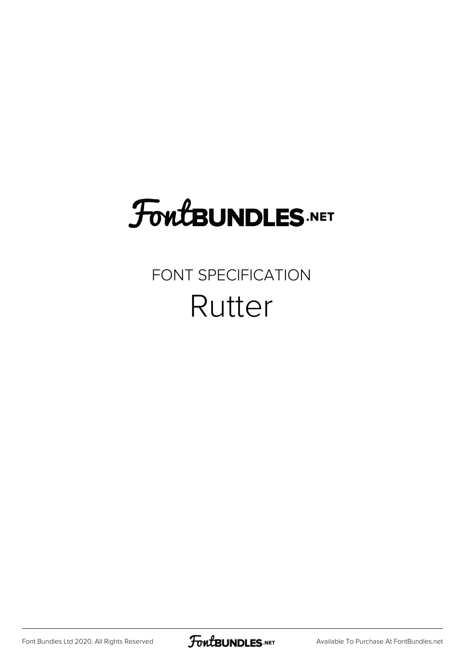## **FoutBUNDLES.NET**

## FONT SPECIFICATION Rutter

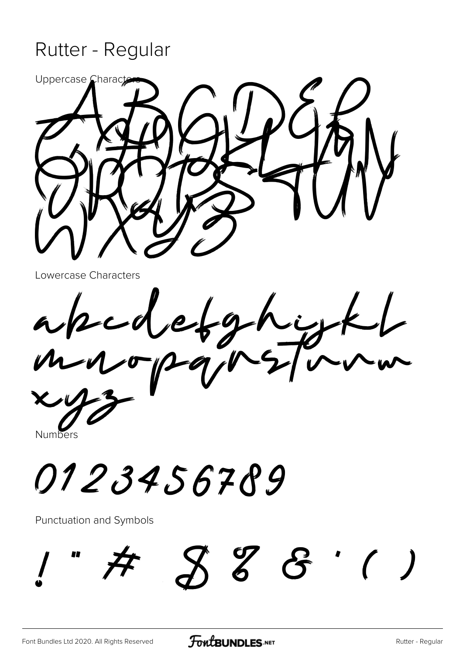## Rutter - Regular



Lowercase Characters

 $\frac{1}{2}$  $-9-6$ 

**Numbers** 

0123456789

Punctuation and Symbols

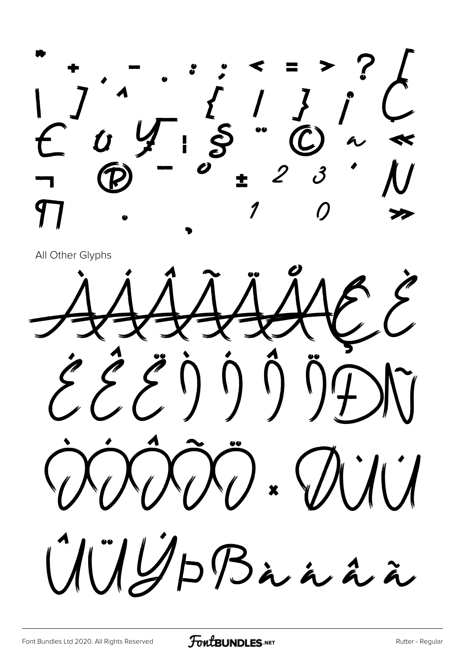$\bullet\bullet$ 

All Other Glyphs

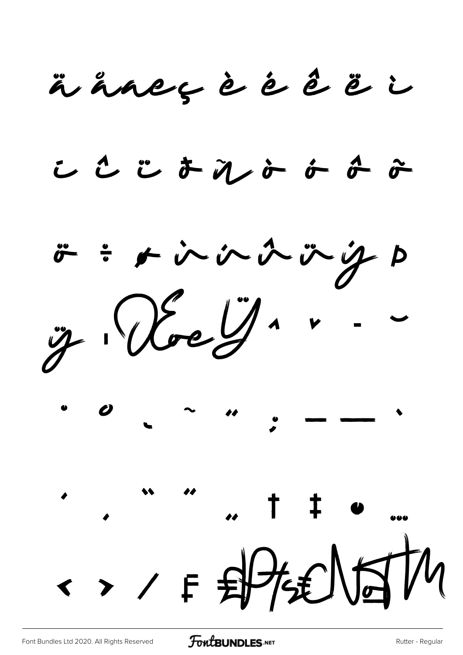ääneçèéêëi

ここじまれよよみみ

ö ÷ r in in in ig p  $\ddot{y}\cdot\hspace{-.1cm}\textcircled{y}\cdot\hspace{-.1cm}\dot{\hspace{-.1cm}\psi}\cdot\hspace{-.1cm}\dot{\hspace{-.1cm}\psi}\cdot\hspace{-.1cm} \dot{\hspace{-.1cm}\psi}\cdot\hspace{-.1cm} \dot{\hspace{-.1cm}\psi}\cdot\hspace{-.1cm} \dot{\hspace{-.1cm}\psi}\cdot\hspace{-.1cm} \dot{\hspace{-.1cm}\psi}\cdot\hspace{-.1cm} \dot{\hspace{-.1cm}\psi}\cdot\hspace{-.1cm} \dot{\hspace{-.1cm}\psi}\cdot\hspace{-.1cm} \dot{\hspace{-.1cm}\psi}\cdot\hspace{-.1cm} \dot{\$  $\therefore$  " "  $\therefore$  + +  $\circ$  " ·> / F 即挺时M